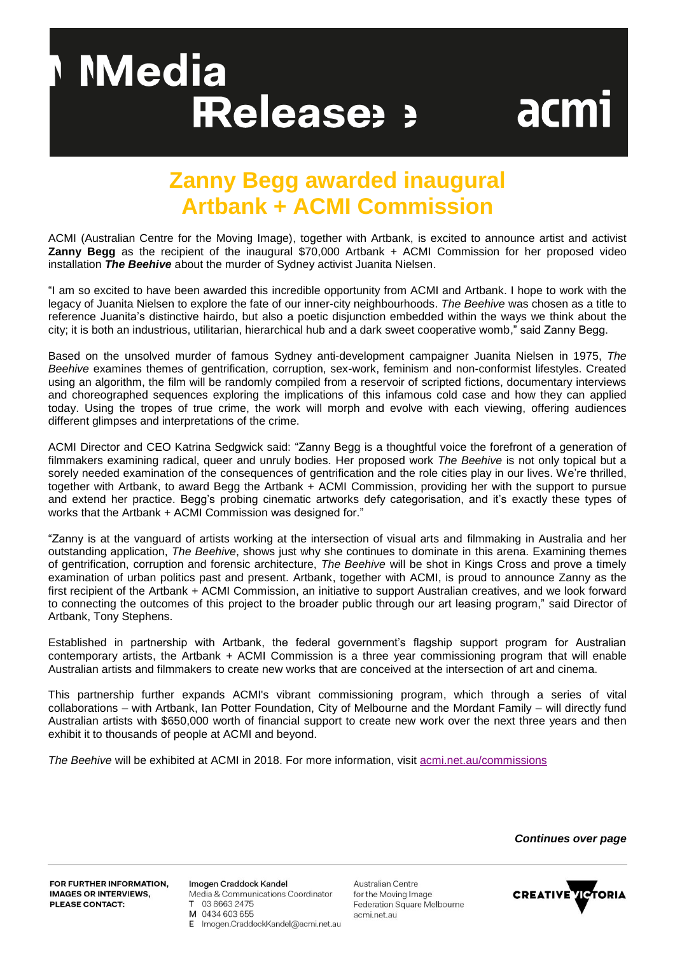## **Media** Release! ?

# acmi

### **Zanny Begg awarded inaugural Artbank + ACMI Commission**

ACMI (Australian Centre for the Moving Image), together with Artbank, is excited to announce artist and activist **Zanny Begg** as the recipient of the inaugural \$70,000 Artbank + ACMI Commission for her proposed video installation *The Beehive* about the murder of Sydney activist Juanita Nielsen.

"I am so excited to have been awarded this incredible opportunity from ACMI and Artbank. I hope to work with the legacy of Juanita Nielsen to explore the fate of our inner-city neighbourhoods. *The Beehive* was chosen as a title to reference Juanita's distinctive hairdo, but also a poetic disjunction embedded within the ways we think about the city; it is both an industrious, utilitarian, hierarchical hub and a dark sweet cooperative womb," said Zanny Begg.

Based on the unsolved murder of famous Sydney anti-development campaigner Juanita Nielsen in 1975, *The Beehive* examines themes of gentrification, corruption, sex-work, feminism and non-conformist lifestyles. Created using an algorithm, the film will be randomly compiled from a reservoir of scripted fictions, documentary interviews and choreographed sequences exploring the implications of this infamous cold case and how they can applied today. Using the tropes of true crime, the work will morph and evolve with each viewing, offering audiences different glimpses and interpretations of the crime.

ACMI Director and CEO Katrina Sedgwick said: "Zanny Begg is a thoughtful voice the forefront of a generation of filmmakers examining radical, queer and unruly bodies. Her proposed work *The Beehive* is not only topical but a sorely needed examination of the consequences of gentrification and the role cities play in our lives. We're thrilled, together with Artbank, to award Begg the Artbank + ACMI Commission, providing her with the support to pursue and extend her practice. Begg's probing cinematic artworks defy categorisation, and it's exactly these types of works that the Artbank + ACMI Commission was designed for."

"Zanny is at the vanguard of artists working at the intersection of visual arts and filmmaking in Australia and her outstanding application, *The Beehive*, shows just why she continues to dominate in this arena. Examining themes of gentrification, corruption and forensic architecture, *The Beehive* will be shot in Kings Cross and prove a timely examination of urban politics past and present. Artbank, together with ACMI, is proud to announce Zanny as the first recipient of the Artbank + ACMI Commission, an initiative to support Australian creatives, and we look forward to connecting the outcomes of this project to the broader public through our art leasing program," said Director of Artbank, Tony Stephens.

Established in partnership with Artbank, the federal government's flagship support program for Australian contemporary artists, the Artbank + ACMI Commission is a three year commissioning program that will enable Australian artists and filmmakers to create new works that are conceived at the intersection of art and cinema.

This partnership further expands ACMI's vibrant commissioning program, which through a series of vital collaborations – with Artbank, Ian Potter Foundation, City of Melbourne and the Mordant Family – will directly fund Australian artists with \$650,000 worth of financial support to create new work over the next three years and then exhibit it to thousands of people at ACMI and beyond.

*The Beehive* will be exhibited at ACMI in 2018. For more information, visit [acmi.net.au/commissions](https://www.acmi.net.au/museum/commissions)

*Continues over page* 

FOR FURTHER INFORMATION. **IMAGES OR INTERVIEWS. PLEASE CONTACT:** 

Imogen Craddock Kandel Media & Communications Coordinator T 03 8663 2475 M 0434 603 655 E Imogen.CraddockKandel@acmi.net.au

Australian Centre for the Moving Image Federation Square Melbourne acmi.net.au